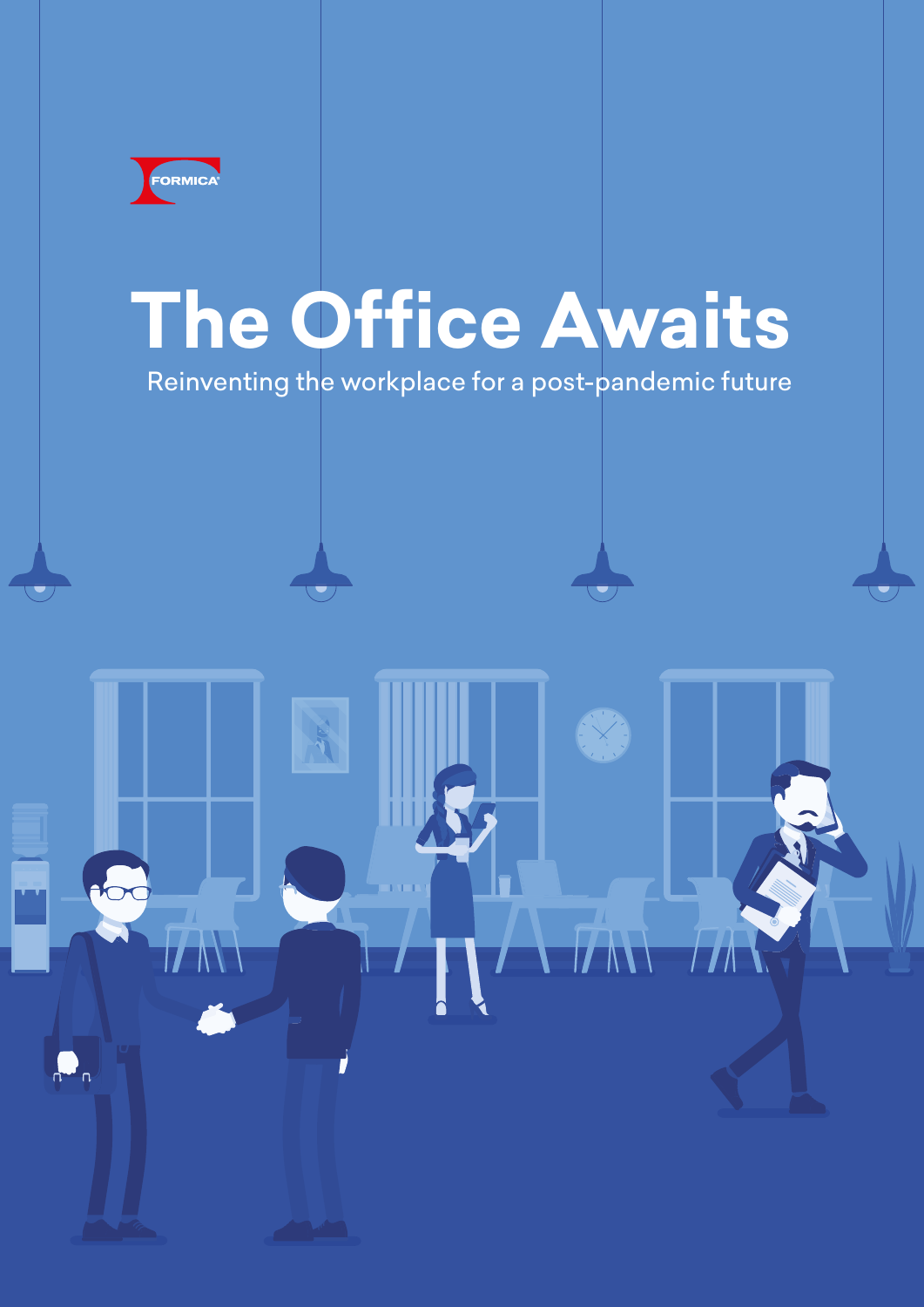

 $\Omega_n$ 

# **The Office Awaits**

Reinventing the workplace for a post-pandemic future

**TANA**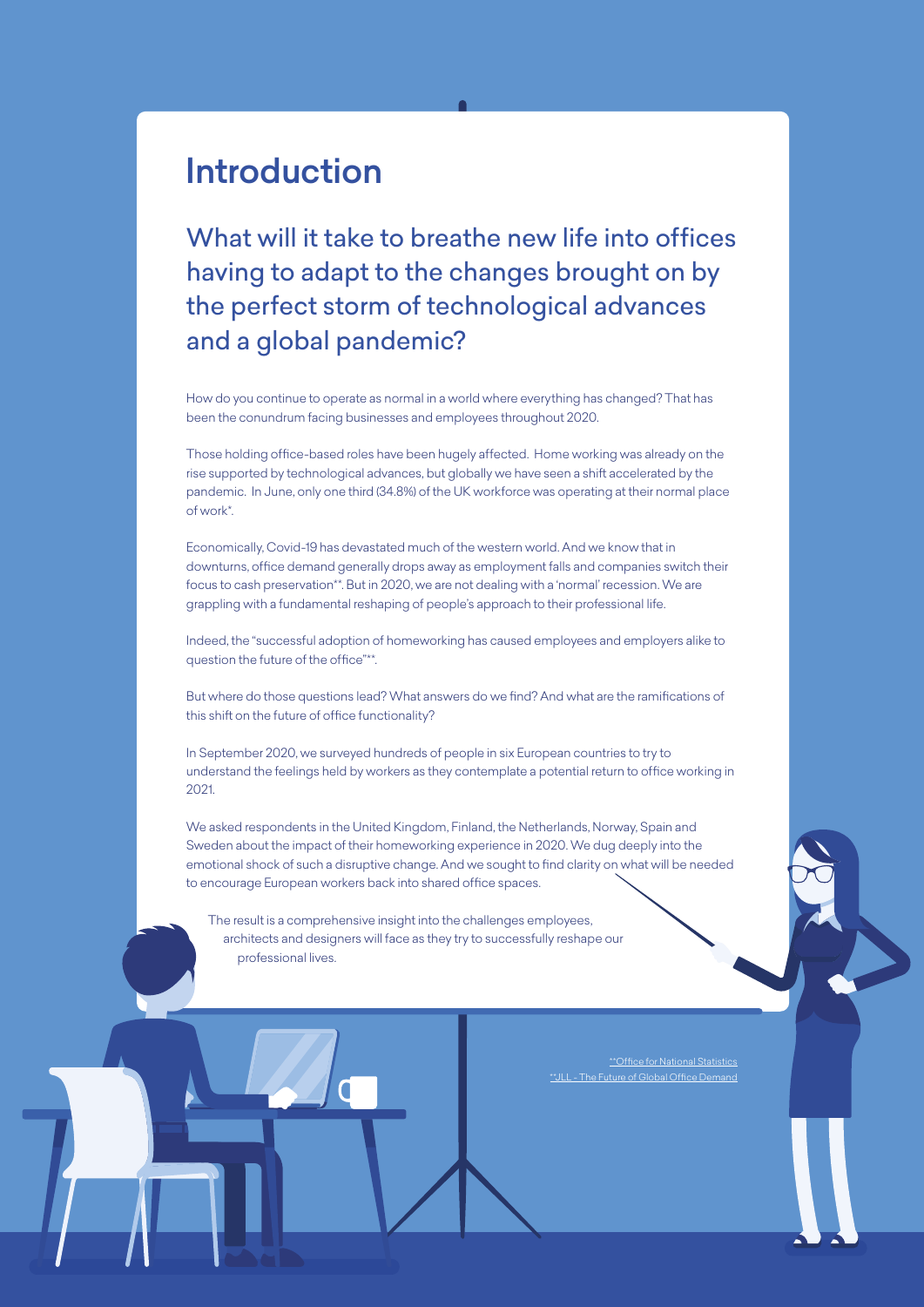## Introduction

What will it take to breathe new life into offices having to adapt to the changes brought on by the perfect storm of technological advances and a global pandemic?

How do you continue to operate as normal in a world where everything has changed? That has been the conundrum facing businesses and employees throughout 2020.

Those holding office-based roles have been hugely affected. Home working was already on the rise supported by technological advances, but globally we have seen a shift accelerated by the pandemic. In June, only one third (34.8%) of the UK workforce was operating at their normal place of work\*.

Economically, Covid-19 has devastated much of the western world. And we know that in downturns, office demand generally drops away as employment falls and companies switch their focus to cash preservation\*\*. But in 2020, we are not dealing with a 'normal' recession. We are grappling with a fundamental reshaping of people's approach to their professional life.

Indeed, the "successful adoption of homeworking has caused employees and employers alike to question the future of the office"\*\*.

But where do those questions lead? What answers do we find? And what are the ramifications of this shift on the future of office functionality?

In September 2020, we surveyed hundreds of people in six European countries to try to understand the feelings held by workers as they contemplate a potential return to office working in 2021.

We asked respondents in the United Kingdom, Finland, the Netherlands, Norway, Spain and Sweden about the impact of their homeworking experience in 2020. We dug deeply into the emotional shock of such a disruptive change. And we sought to find clarity on what will be needed to encourage European workers back into shared office spaces.

The result is a comprehensive insight into the challenges employees, architects and designers will face as they try to successfully reshape our professional lives.

> \*\*[Office for National Statistics](https://www.ons.gov.uk/peoplepopulationandcommunity/healthandsocialcare/conditionsanddiseases/bulletins/coronavirustheukeconomyandsocietyfasterindicators/5november) .<br>LL - The Future of Global Office Demand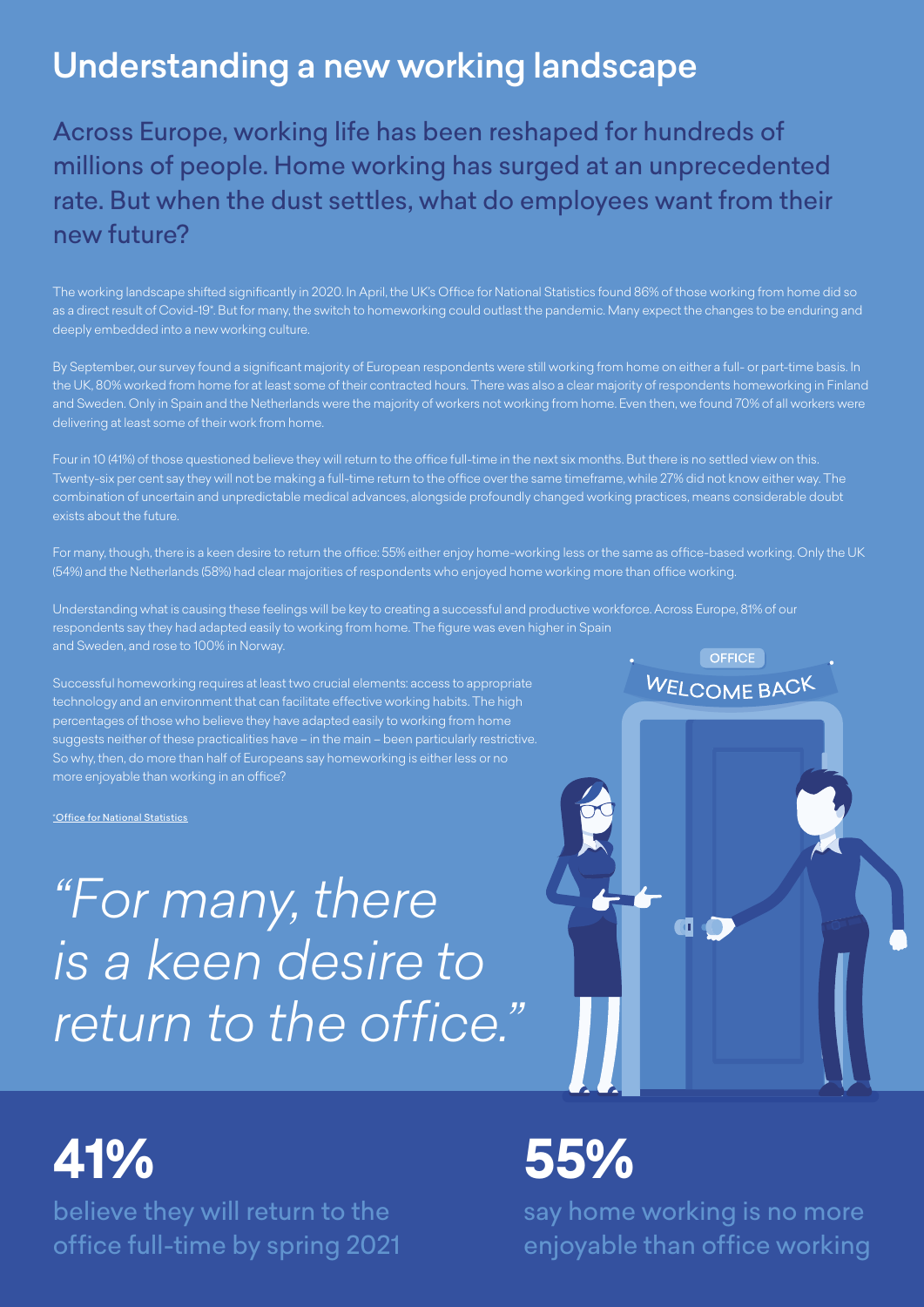# Understanding a new working landscape

Across Europe, working life has been reshaped for hundreds of millions of people. Home working has surged at an unprecedented rate. But when the dust settles, what do employees want from their new future?

The working landscape shifted significantly in 2020. In April, the UK's Office for National Statistics found 86% of those working from home did so as a direct result of Covid-19\*. But for many, the switch to homeworking could outlast the pandemic. Many expect the changes to be enduring and deeply embedded into a new working culture.

By September, our survey found a significant majority of European respondents were still working from home on either a full- or part-time basis. In the UK, 80% worked from home for at least some of their contracted hours. There was also a clear majority of respondents homeworking in Finland and Sweden. Only in Spain and the Netherlands were the majority of workers not working from home. Even then, we found 70% of all workers were

Twenty-six per cent say they will not be making a full-time return to the office over the same timeframe, while 27% did not know either way. The combination of uncertain and unpredictable medical advances, alongside profoundly changed working practices, means considerable doubt

For many, though, there is a keen desire to return the office: 55% either enjoy home-working less or the same as office-based working. Only the UK (54%) and the Netherlands (58%) had clear majorities of respondents who enjoyed home working more than office working.

Understanding what is causing these feelings will be key to creating a successful and productive workforce. Across Europe, 81% of our respondents say they had adapted easily to working from home. The figure was even higher in Spain and Sweden, and rose to 100% in Norway.

Successful homeworking requires at least two crucial elements: access to appropriate technology and an environment that can facilitate effective working habits. The high percentages of those who believe they have adapted easily to working from home suggests neither of these practicalities have – in the main – been particularly restrictive. So why, then, do more than half of Europeans say homeworking is either less or no more enjoyable than working in an office?

\*[Office for National Statistics](https://www.ons.gov.uk/peoplepopulationandcommunity/healthandsocialcare/conditionsanddiseases/bulletins/coronavirustheukeconomyandsocietyfasterindicators/5november)

*"For many, there is a keen desire to return to the office."*



believe they will return to the office full-time by spring 2021

# **41% 55%**

say home working is no more enjoyable than office working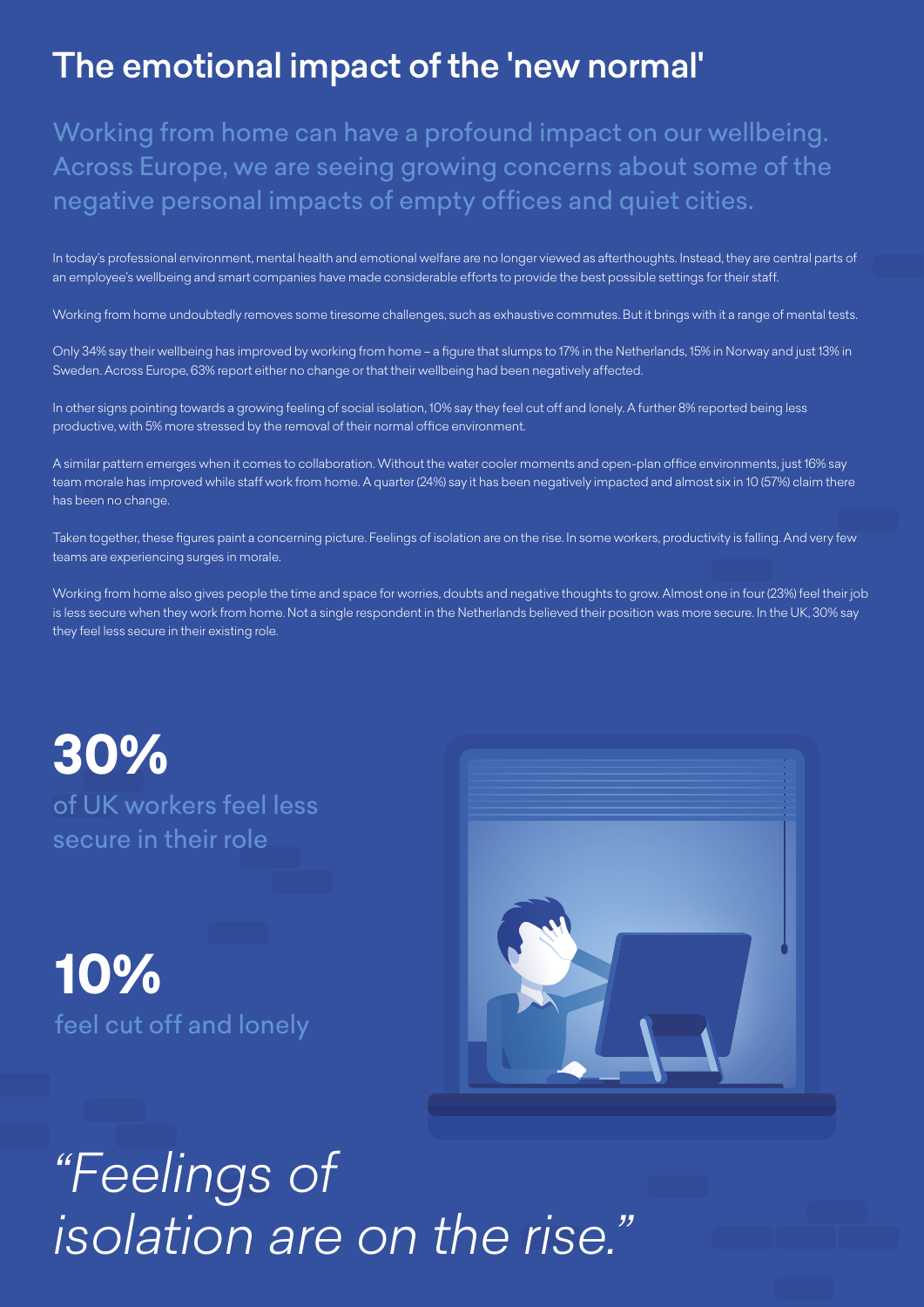# The emotional impact of the 'new normal'

Working from home can have a profound impact on our wellbeing. Across Europe, we are seeing growing concerns about some of the negative personal impacts of empty offices and quiet cities.

In today's professional environment, mental health and emotional welfare are no longer viewed as afterthoughts. Instead, they are central parts of an employee's wellbeing and smart companies have made considerable efforts to provide the best possible settings for their staff.

Working from home undoubtedly removes some tiresome challenges, such as exhaustive commutes. But it brings with it a range of mental tests.

Only 34% say their wellbeing has improved by working from home – a figure that slumps to 17% in the Netherlands, 15% in Norway and just 13% in Sweden. Across Europe, 63% report either no change or that their wellbeing had been negatively affected.

In other signs pointing towards a growing feeling of social isolation, 10% say they feel cut off and lonely. A further 8% reported being less productive, with 5% more stressed by the removal of their normal office environment.

A similar pattern emerges when it comes to collaboration. Without the water cooler moments and open-plan office environments, just 16% say team morale has improved while staff work from home. A quarter (24%) say it has been negatively impacted and almost six in 10 (57%) claim there has been no change.

Taken together, these figures paint a concerning picture. Feelings of isolation are on the rise. In some workers, productivity is falling. And very few teams are experiencing surges in morale.

Working from home also gives people the time and space for worries, doubts and negative thoughts to grow. Almost one in four (23%) feel their job is less secure when they work from home. Not a single respondent in the Netherlands believed their position was more secure. In the UK, 30% say they feel less secure in their existing role.

**30%**  of UK workers feel less secure in their role

**10%** feel cut off and lonely



# *"Feelings of isolation are on the rise."*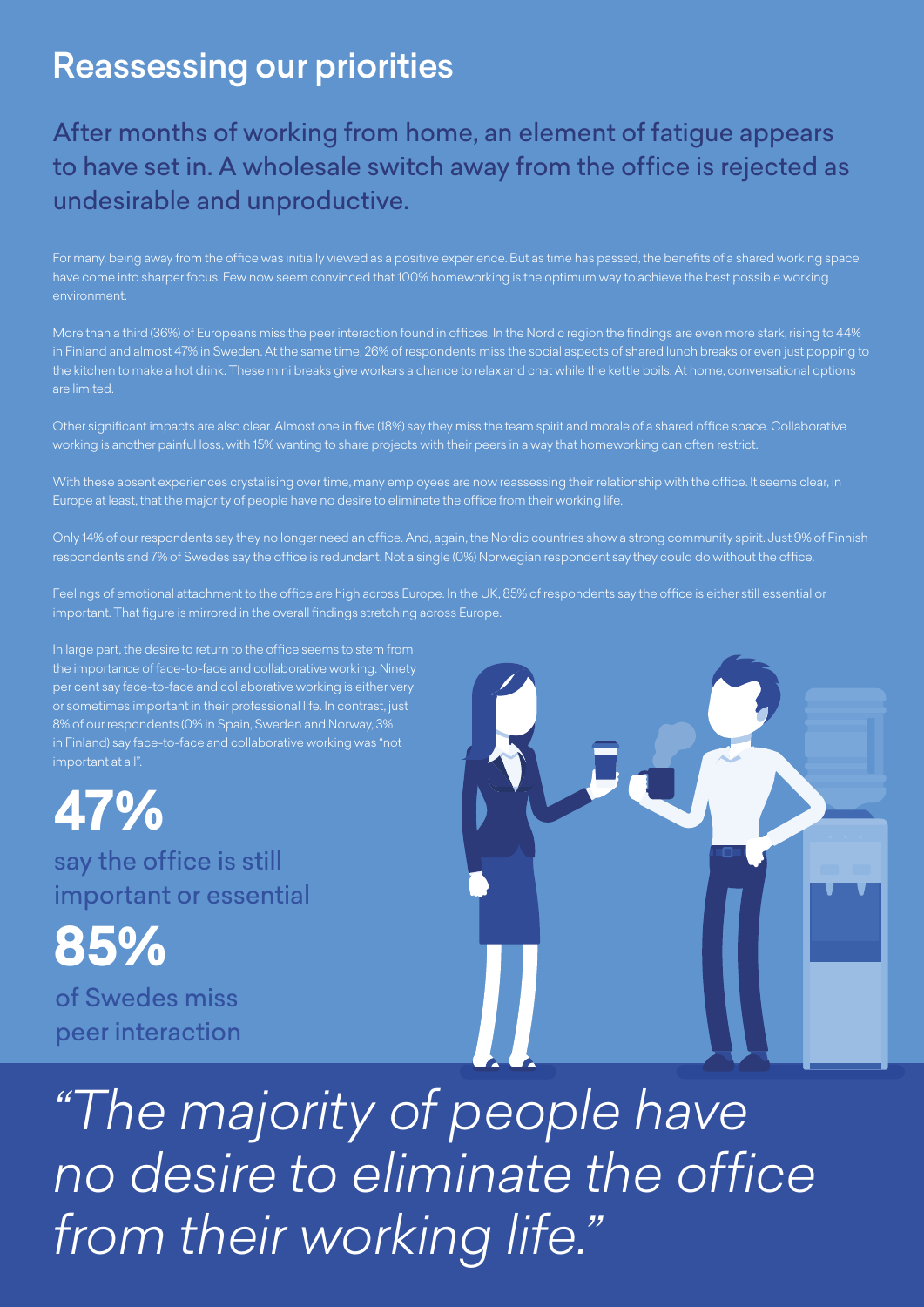# Reassessing our priorities

## After months of working from home, an element of fatigue appears to have set in. A wholesale switch away from the office is rejected as undesirable and unproductive.

For many, being away from the office was initially viewed as a positive experience. But as time has passed, the benefits of a shared working space have come into sharper focus. Few now seem convinced that 100% homeworking is the optimum way to achieve the best possible working environment.

More than a third (36%) of Europeans miss the peer interaction found in offices. In the Nordic region the findings are even more stark, rising to 44% in Finland and almost 47% in Sweden. At the same time, 26% of respondents miss the social aspects of shared lunch breaks or even just popping to the kitchen to make a hot drink. These mini breaks give workers a chance to relax and chat while the kettle boils. At home, conversational options are limited.

Other significant impacts are also clear. Almost one in five (18%) say they miss the team spirit and morale of a shared office space. Collaborative working is another painful loss, with 15% wanting to share projects with their peers in a way that homeworking can often restrict.

With these absent experiences crystalising over time, many employees are now reassessing their relationship with the office. It seems clear, in Europe at least, that the majority of people have no desire to eliminate the office from their working life.

Only 14% of our respondents say they no longer need an office. And, again, the Nordic countries show a strong community spirit. Just 9% of Finnish respondents and 7% of Swedes say the office is redundant. Not a single (0%) Norwegian respondent say they could do without the office.

Feelings of emotional attachment to the office are high across Europe. In the UK, 85% of respondents say the office is either still essential or important. That figure is mirrored in the overall findings stretching across Europe.

In large part, the desire to return to the office seems to stem from the importance of face-to-face and collaborative working. Ninety per cent say face-to-face and collaborative working is either very or sometimes important in their professional life. In contrast, just 8% of our respondents (0% in Spain, Sweden and Norway, 3% in Finland) say face-to-face and collaborative working was "not

**47%** 

say the office is still important or essential

**85%**

of Swedes miss peer interaction



*"The majority of people have no desire to eliminate the office from their working life."*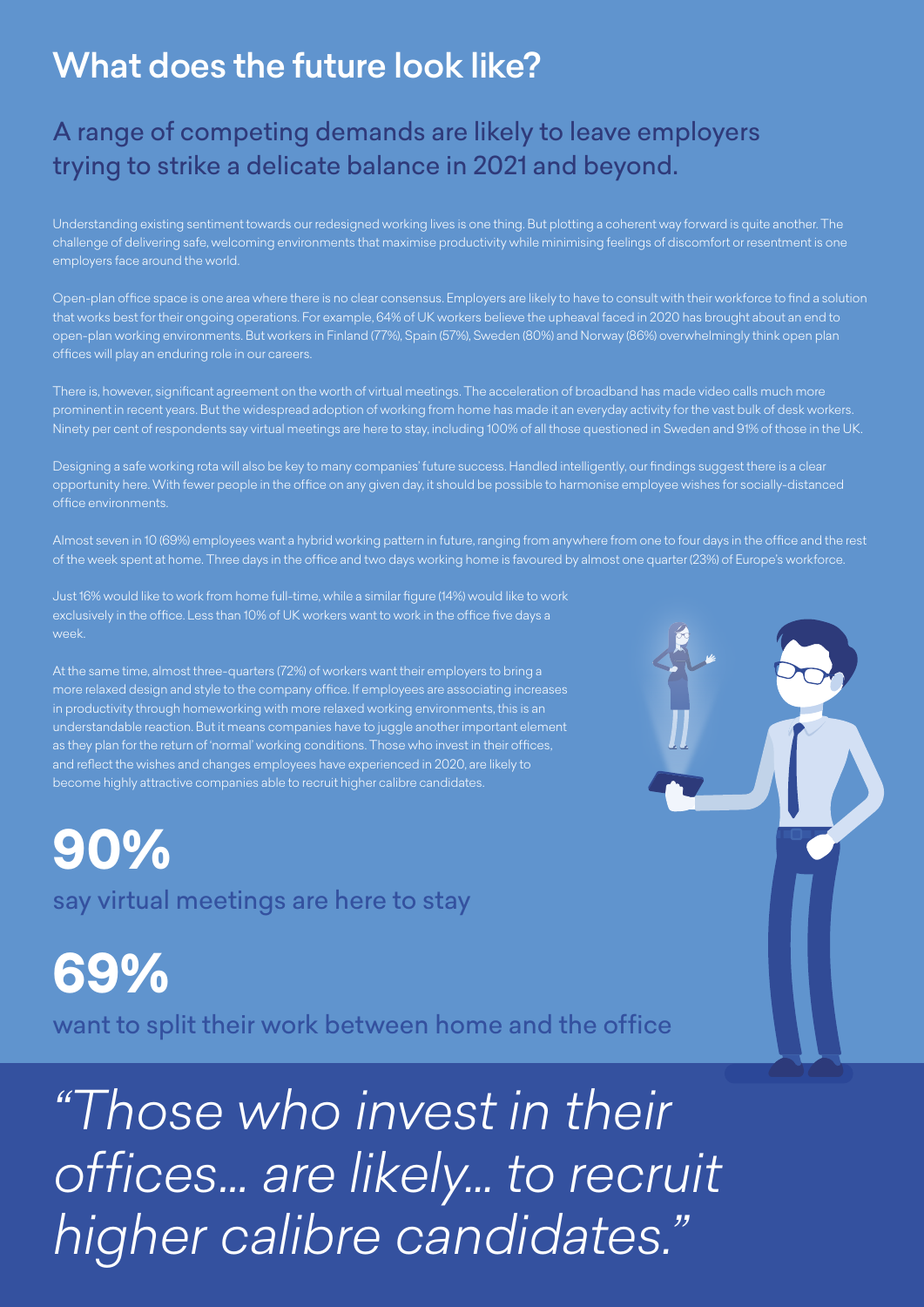# What does the future look like?

## A range of competing demands are likely to leave employers trying to strike a delicate balance in 2021 and beyond.

Understanding existing sentiment towards our redesigned working lives is one thing. But plotting a coherent way forward is quite another. The challenge of delivering safe, welcoming environments that maximise productivity while minimising feelings of discomfort or resentment is one employers face around the world.

Open-plan office space is one area where there is no clear consensus. Employers are likely to have to consult with their workforce to find a solution that works best for their ongoing operations. For example, 64% of UK workers believe the upheaval faced in 2020 has brought about an end to open-plan working environments. But workers in Finland (77%), Spain (57%), Sweden (80%) and Norway (86%) overwhelmingly think open plan offices will play an enduring role in our careers.

There is, however, significant agreement on the worth of virtual meetings. The acceleration of broadband has made video calls much more prominent in recent years. But the widespread adoption of working from home has made it an everyday activity for the vast bulk of desk workers. Ninety per cent of respondents say virtual meetings are here to stay, including 100% of all those questioned in Sweden and 91% of those in the UK.

Designing a safe working rota will also be key to many companies' future success. Handled intelligently, our findings suggest there is a clear opportunity here. With fewer people in the office on any given day, it should be possible to harmonise employee wishes for socially-distanced office environments.

Almost seven in 10 (69%) employees want a hybrid working pattern in future, ranging from anywhere from one to four days in the office and the rest of the week spent at home. Three days in the office and two days working home is favoured by almost one quarter (23%) of Europe's workforce.

Just 16% would like to work from home full-time, while a similar figure (14%) would like to work exclusively in the office. Less than 10% of UK workers want to work in the office five days a week.

At the same time, almost three-quarters (72%) of workers want their employers to bring a more relaxed design and style to the company office. If employees are associating increases in productivity through homeworking with more relaxed working environments, this is an understandable reaction. But it means companies have to juggle another important element as they plan for the return of 'normal' working conditions. Those who invest in their offices, and reflect the wishes and changes employees have experienced in 2020, are likely to become highly attractive companies able to recruit higher calibre candidates.

say virtual meetings are here to stay **90%**

want to split their work between home and the office **69%**

*"Those who invest in their offices… are likely... to recruit higher calibre candidates."*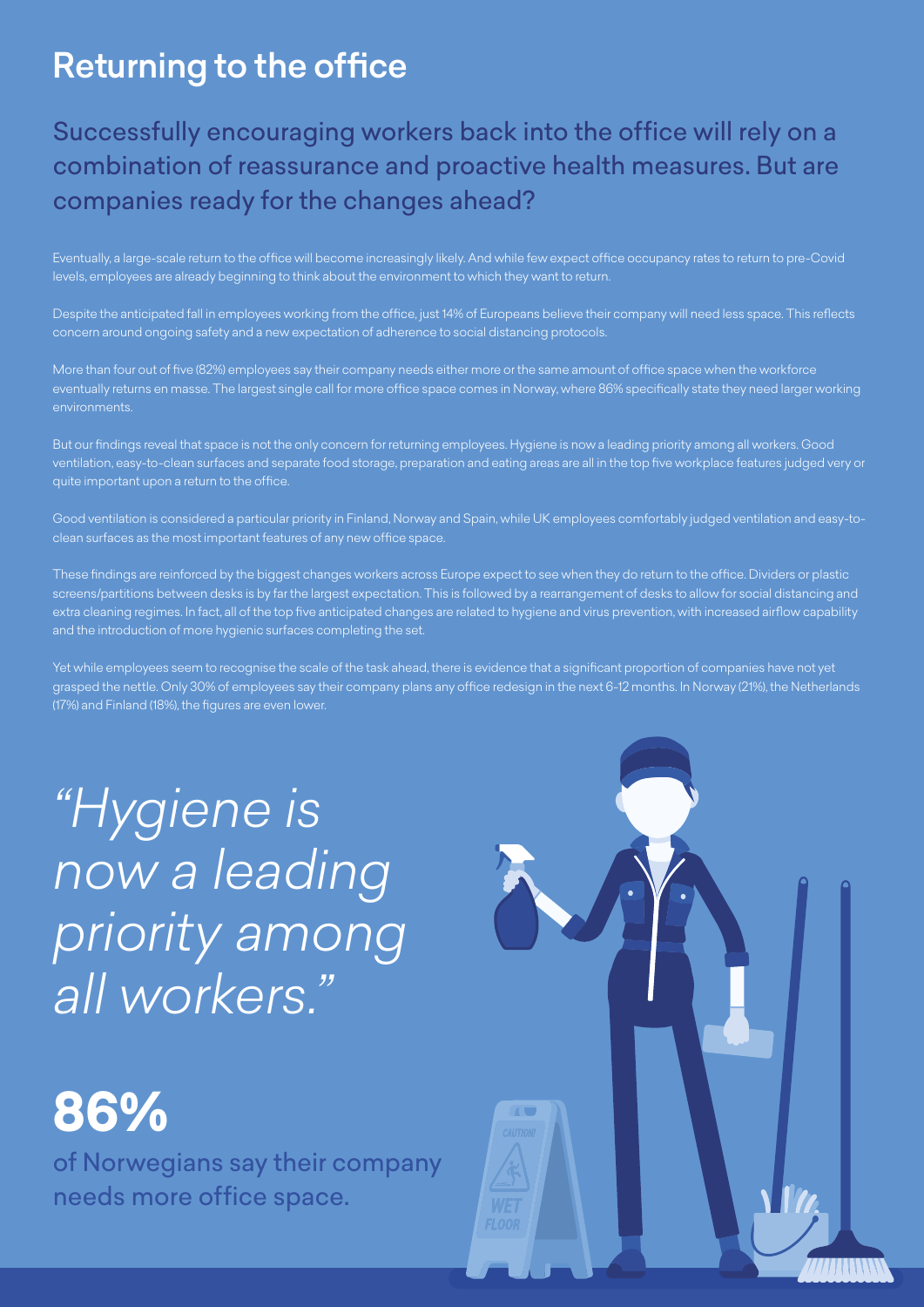# Returning to the office

## Successfully encouraging workers back into the office will rely on a combination of reassurance and proactive health measures. But are companies ready for the changes ahead?

Eventually, a large-scale return to the office will become increasingly likely. And while few expect office occupancy rates to return to pre-Covid levels, employees are already beginning to think about the environment to which they want to return.

Despite the anticipated fall in employees working from the office, just 14% of Europeans believe their company will need less space. This reflects concern around ongoing safety and a new expectation of adherence to social distancing protocols.

More than four out of five (82%) employees say their company needs either more or the same amount of office space when the workforce eventually returns en masse. The largest single call for more office space comes in Norway, where 86% specifically state they need larger working environments.

But our findings reveal that space is not the only concern for returning employees. Hygiene is now a leading priority among all workers. Good ventilation, easy-to-clean surfaces and separate food storage, preparation and eating areas are all in the top five workplace features judged very or

Good ventilation is considered a particular priority in Finland, Norway and Spain, while UK employees comfortably judged ventilation and easy-toclean surfaces as the most important features of any new office space.

These findings are reinforced by the biggest changes workers across Europe expect to see when they do return to the office. Dividers or plastic screens/partitions between desks is by far the largest expectation. This is followed by a rearrangement of desks to allow for social distancing and extra cleaning regimes. In fact, all of the top five anticipated changes are related to hygiene and virus prevention, with increased airflow capability and the introduction of more hygienic surfaces completing the set.

Yet while employees seem to recognise the scale of the task ahead, there is evidence that a significant proportion of companies have not yet grasped the nettle. Only 30% of employees say their company plans any office redesign in the next 6-12 months. In Norway (21%), the Netherlands (17%) and Finland (18%), the figures are even lower.

*"Hygiene is now a leading priority among all workers."*

# **86%**

of Norwegians say their company needs more office space.

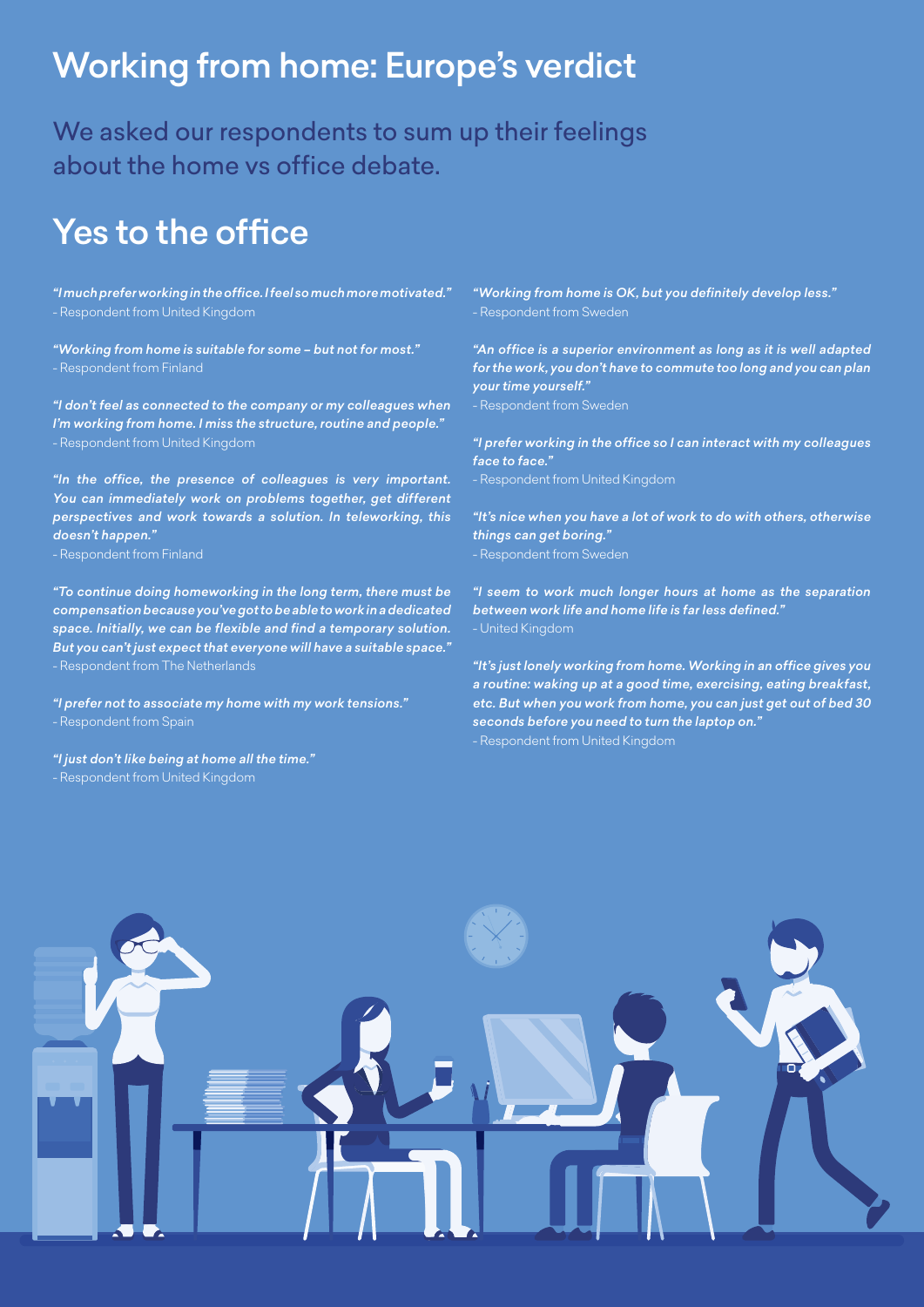# Working from home: Europe's verdict

We asked our respondents to sum up their feelings about the home vs office debate.

## Yes to the office

*"I much prefer working in the office. I feel so much more motivated."* - Respondent from United Kingdom

*"Working from home is suitable for some – but not for most."*

*"I don't feel as connected to the company or my colleagues when I'm working from home. I miss the structure, routine and people."* - Respondent from United Kingdom

*"In the office, the presence of colleagues is very important. You can immediately work on problems together, get different perspectives and work towards a solution. In teleworking, this doesn't happen."*

- Respondent from Finland

*"To continue doing homeworking in the long term, there must be compensation because you've got to be able to work in a dedicated space. Initially, we can be flexible and find a temporary solution. But you can't just expect that everyone will have a suitable space."*

*"I prefer not to associate my home with my work tensions."*

*"I just don't like being at home all the time."* - Respondent from United Kingdom

*"Working from home is OK, but you definitely develop less."*

*"An office is a superior environment as long as it is well adapted for the work, you don't have to commute too long and you can plan your time yourself."* - Respondent from Sweden

*"I prefer working in the office so I can interact with my colleagues face to face."*

- Respondent from United Kingdom

*"It's nice when you have a lot of work to do with others, otherwise things can get boring."*

- Respondent from Sweden

*"I seem to work much longer hours at home as the separation between work life and home life is far less defined."* - United Kingdom

*"It's just lonely working from home. Working in an office gives you a routine: waking up at a good time, exercising, eating breakfast, etc. But when you work from home, you can just get out of bed 30 seconds before you need to turn the laptop on."* - Respondent from United Kingdom

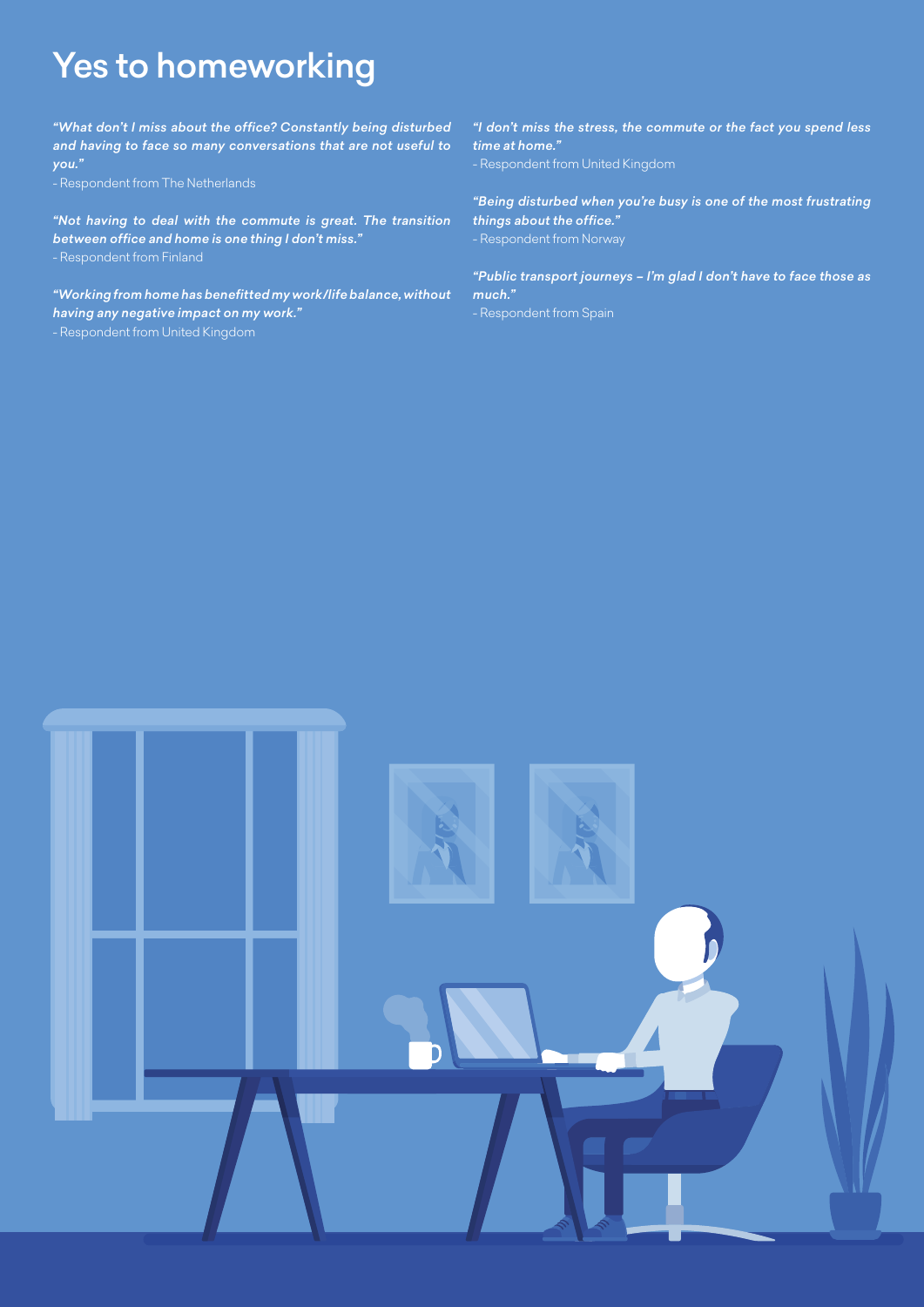# Yes to homeworking

*"What don't I miss about the office? Constantly being disturbed and having to face so many conversations that are not useful to you."*

*"Not having to deal with the commute is great. The transition between office and home is one thing I don't miss."*

*"Working from home has benefitted my work/life balance, without having any negative impact on my work."*

- Respondent from United Kingdom

*"I don't miss the stress, the commute or the fact you spend less time at home."*

- Respondent from United Kingdom

*"Being disturbed when you're busy is one of the most frustrating things about the office."*

*"Public transport journeys – I'm glad I don't have to face those as much."*

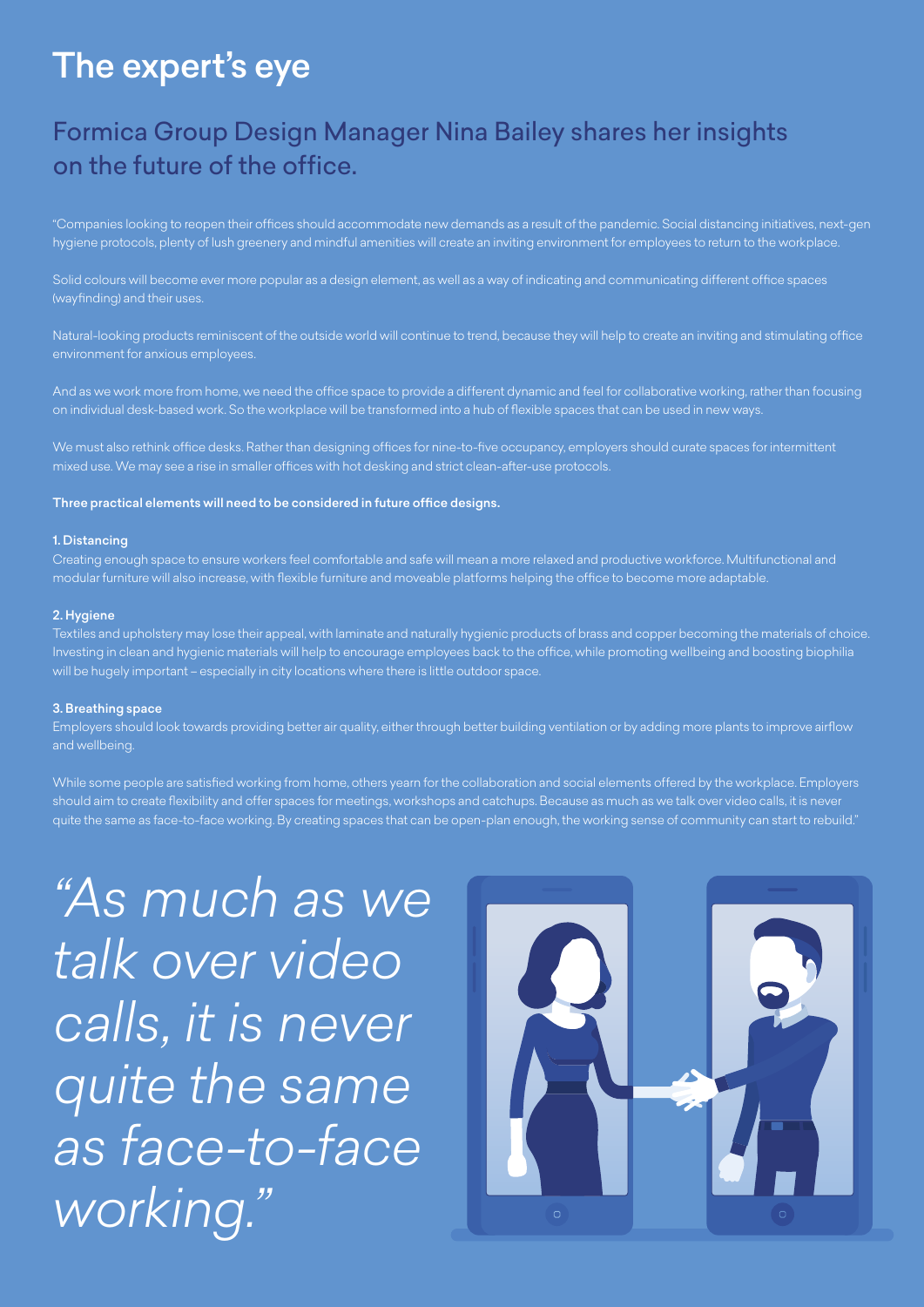# The expert's eye

## Formica Group Design Manager Nina Bailey shares her insights on the future of the office.

"Companies looking to reopen their offices should accommodate new demands as a result of the pandemic. Social distancing initiatives, next-gen hygiene protocols, plenty of lush greenery and mindful amenities will create an inviting environment for employees to return to the workplace.

Solid colours will become ever more popular as a design element, as well as a way of indicating and communicating different office spaces (wayfinding) and their uses.

Natural-looking products reminiscent of the outside world will continue to trend, because they will help to create an inviting and stimulating office environment for anxious employees.

And as we work more from home, we need the office space to provide a different dynamic and feel for collaborative working, rather than focusing on individual desk-based work. So the workplace will be transformed into a hub of flexible spaces that can be used in new ways.

We must also rethink office desks. Rather than designing offices for nine-to-five occupancy, employers should curate spaces for intermittent mixed use. We may see a rise in smaller offices with hot desking and strict clean-after-use protocols.

## Three practical elements will need to be considered in future office designs.

## 1. Distancing

Creating enough space to ensure workers feel comfortable and safe will mean a more relaxed and productive workforce. Multifunctional and modular furniture will also increase, with flexible furniture and moveable platforms helping the office to become more adaptable.

### 2. Hygiene

Textiles and upholstery may lose their appeal, with laminate and naturally hygienic products of brass and copper becoming the materials of choice. Investing in clean and hygienic materials will help to encourage employees back to the office, while promoting wellbeing and boosting biophilia will be hugely important – especially in city locations where there is little outdoor space.

### 3. Breathing space

Employers should look towards providing better air quality, either through better building ventilation or by adding more plants to improve airflow and wellbeing.

While some people are satisfied working from home, others yearn for the collaboration and social elements offered by the workplace. Employers should aim to create flexibility and offer spaces for meetings, workshops and catchups. Because as much as we talk over video calls, it is never quite the same as face-to-face working. By creating spaces that can be open-plan enough, the working sense of community can start to rebuild."

*"As much as we talk over video calls, it is never quite the same as face-to-face working."*

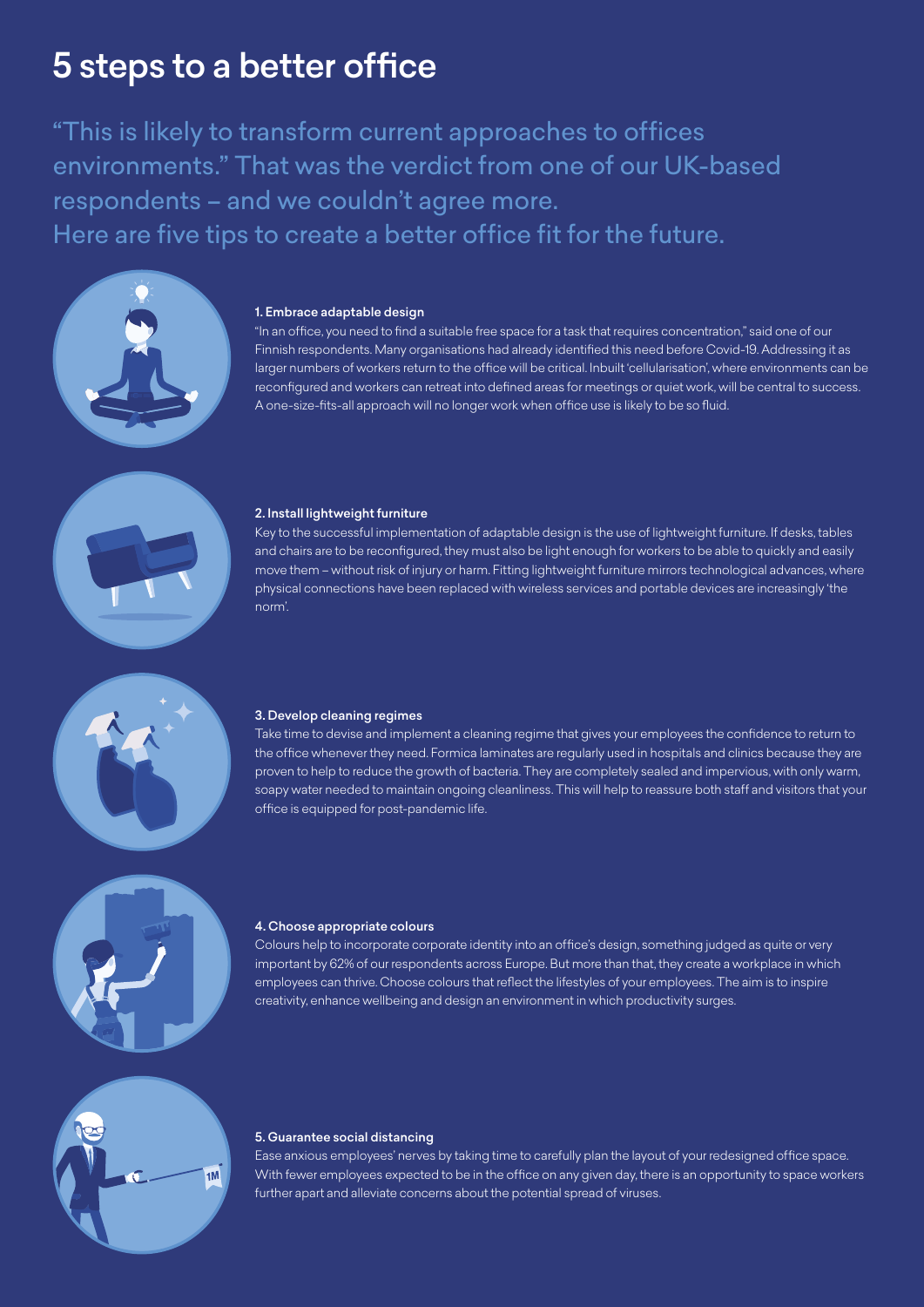# 5 steps to a better office

"This is likely to transform current approaches to offices environments." That was the verdict from one of our UK-based respondents – and we couldn't agree more. Here are five tips to create a better office fit for the future.



### 1. Embrace adaptable design

"In an office, you need to find a suitable free space for a task that requires concentration," said one of our Finnish respondents. Many organisations had already identified this need before Covid-19. Addressing it as larger numbers of workers return to the office will be critical. Inbuilt 'cellularisation', where environments can be reconfigured and workers can retreat into defined areas for meetings or quiet work, will be central to success. A one-size-fits-all approach will no longer work when office use is likely to be so fluid.



#### 2. Install lightweight furniture

Key to the successful implementation of adaptable design is the use of lightweight furniture. If desks, tables and chairs are to be reconfigured, they must also be light enough for workers to be able to quickly and easily move them – without risk of injury or harm. Fitting lightweight furniture mirrors technological advances, where physical connections have been replaced with wireless services and portable devices are increasingly 'the norm'.



#### 3. Develop cleaning regimes

Take time to devise and implement a cleaning regime that gives your employees the confidence to return to the office whenever they need. Formica laminates are regularly used in hospitals and clinics because they are proven to help to reduce the growth of bacteria. They are completely sealed and impervious, with only warm, soapy water needed to maintain ongoing cleanliness. This will help to reassure both staff and visitors that your office is equipped for post-pandemic life.



#### 4. Choose appropriate colours

Colours help to incorporate corporate identity into an office's design, something judged as quite or very important by 62% of our respondents across Europe. But more than that, they create a workplace in which employees can thrive. Choose colours that reflect the lifestyles of your employees. The aim is to inspire creativity, enhance wellbeing and design an environment in which productivity surges.



## 5. Guarantee social distancing

Ease anxious employees' nerves by taking time to carefully plan the layout of your redesigned office space. With fewer employees expected to be in the office on any given day, there is an opportunity to space workers further apart and alleviate concerns about the potential spread of viruses.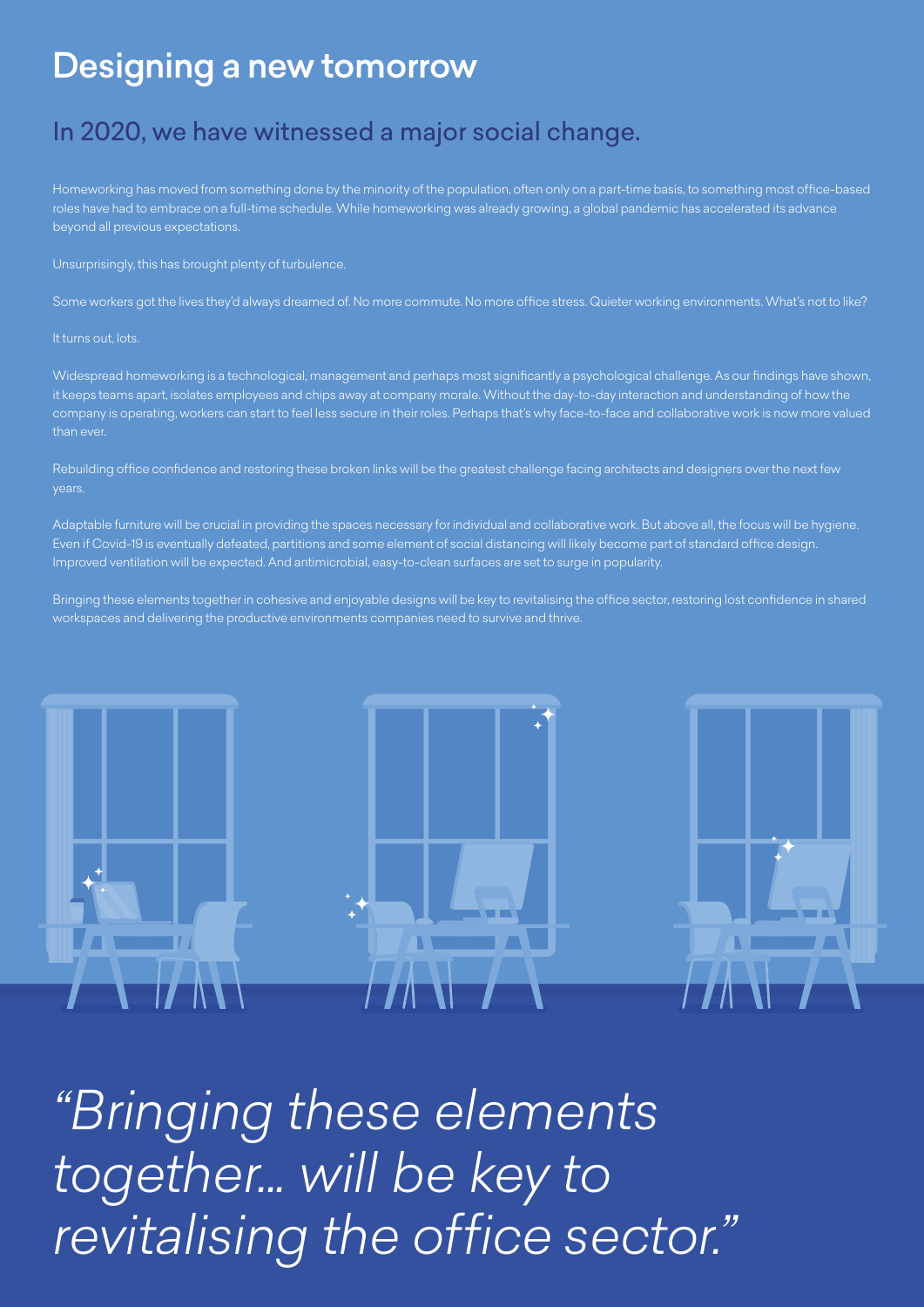## Designing a new tomorrow

## In 2020, we have witnessed a major social change.

Homeworking has moved from something done by the minority of the population, often only on a part-time basis, to something most office-based roles have had to embrace on a full-time schedule. While homeworking was already growing, a global pandemic has accelerated its advance beyond all previous expectations.

Unsurprisingly, this has brought plenty of turbulence.

Some workers got the lives they'd always dreamed of. No more commute. No more office stress. Quieter working environments. What's not to like?

## It turns out, lots.

Widespread homeworking is a technological, management and perhaps most significantly a psychological challenge. As our findings have shown, it keeps teams apart, isolates employees and chips away at company morale. Without the day-to-day interaction and understanding of how the company is operating, workers can start to feel less secure in their roles. Perhaps that's why face-to-face and collaborative work is now more valued than ever.

Rebuilding office confidence and restoring these broken links will be the greatest challenge facing architects and designers over the next few years.

Adaptable furniture will be crucial in providing the spaces necessary for individual and collaborative work. But above all, the focus will be hygiene. Even if Covid-19 is eventually defeated, partitions and some element of social distancing will likely become part of standard office design. Improved ventilation will be expected. And antimicrobial, easy-to-clean surfaces are set to surge in popularity.

Bringing these elements together in cohesive and enjoyable designs will be key to revitalising the office sector, restoring lost confidence in shared workspaces and delivering the productive environments companies need to survive and thrive.



*"Bringing these elements together... will be key to revitalising the office sector."*